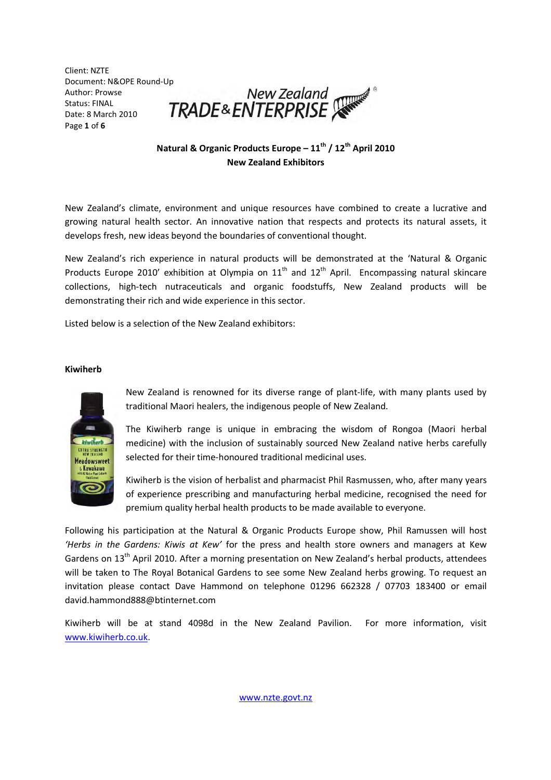Client: NZTE Author: Prowse Status: FINAL Date: 8 March 2010 Page 1 of 6



# Natural & Organic Products Europe –  $11^{th}$  /  $12^{th}$  April 2010 New Zealand Exhibitors

New Zealand's climate, environment and unique resources have combined to create a lucrative and growing natural health sector. An innovative nation that respects and protects its natural assets, it develops fresh, new ideas beyond the boundaries of conventional thought.

New Zealand's rich experience in natural products will be demonstrated at the 'Natural & Organic Products Europe 2010' exhibition at Olympia on  $11<sup>th</sup>$  and  $12<sup>th</sup>$  April. Encompassing natural skincare collections, high-tech nutraceuticals and organic foodstuffs, New Zealand products will be demonstrating their rich and wide experience in this sector.

Listed below is a selection of the New Zealand exhibitors:

## Kiwiherb



New Zealand is renowned for its diverse range of plant-life, with many plants used by traditional Maori healers, the indigenous people of New Zealand.

The Kiwiherb range is unique in embracing the wisdom of Rongoa (Maori herbal medicine) with the inclusion of sustainably sourced New Zealand native herbs carefully selected for their time-honoured traditional medicinal uses.

Kiwiherb is the vision of herbalist and pharmacist Phil Rasmussen, who, after many years of experience prescribing and manufacturing herbal medicine, recognised the need for premium quality herbal health products to be made available to everyone.

Following his participation at the Natural & Organic Products Europe show, Phil Ramussen will host 'Herbs in the Gardens: Kiwis at Kew' for the press and health store owners and managers at Kew Gardens on 13<sup>th</sup> April 2010. After a morning presentation on New Zealand's herbal products, attendees will be taken to The Royal Botanical Gardens to see some New Zealand herbs growing. To request an invitation please contact Dave Hammond on telephone 01296 662328 / 07703 183400 or email david.hammond888@btinternet.com

Kiwiherb will be at stand 4098d in the New Zealand Pavilion. For more information, visit www.kiwiherb.co.uk.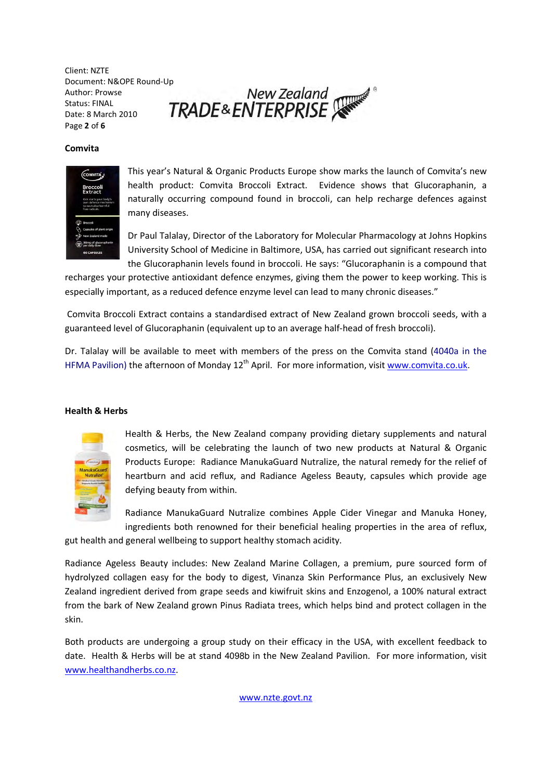Client: NZTE Author: Prowse Status: FINAL Date: 8 March 2010 Page 2 of 6

Document: N&OPE Round-Up<br>Author: Prowse New Zealand<br>Date: 8 March 2010 **TRADE&ENTERPRISE** 

## Comvita



This year's Natural & Organic Products Europe show marks the launch of Comvita's new health product: Comvita Broccoli Extract. Evidence shows that Glucoraphanin, a naturally occurring compound found in broccoli, can help recharge defences against many diseases.

Dr Paul Talalay, Director of the Laboratory for Molecular Pharmacology at Johns Hopkins University School of Medicine in Baltimore, USA, has carried out significant research into the Glucoraphanin levels found in broccoli. He says: "Glucoraphanin is a compound that

recharges your protective antioxidant defence enzymes, giving them the power to keep working. This is especially important, as a reduced defence enzyme level can lead to many chronic diseases."

 Comvita Broccoli Extract contains a standardised extract of New Zealand grown broccoli seeds, with a guaranteed level of Glucoraphanin (equivalent up to an average half-head of fresh broccoli).

Dr. Talalay will be available to meet with members of the press on the Comvita stand (4040a in the HFMA Pavilion) the afternoon of Monday 12<sup>th</sup> April. For more information, visit www.comvita.co.uk.

#### Health & Herbs



Health & Herbs, the New Zealand company providing dietary supplements and natural cosmetics, will be celebrating the launch of two new products at Natural & Organic Products Europe: Radiance ManukaGuard Nutralize, the natural remedy for the relief of heartburn and acid reflux, and Radiance Ageless Beauty, capsules which provide age defying beauty from within.

Radiance ManukaGuard Nutralize combines Apple Cider Vinegar and Manuka Honey, ingredients both renowned for their beneficial healing properties in the area of reflux,

gut health and general wellbeing to support healthy stomach acidity.

Radiance Ageless Beauty includes: New Zealand Marine Collagen, a premium, pure sourced form of hydrolyzed collagen easy for the body to digest, Vinanza Skin Performance Plus, an exclusively New Zealand ingredient derived from grape seeds and kiwifruit skins and Enzogenol, a 100% natural extract from the bark of New Zealand grown Pinus Radiata trees, which helps bind and protect collagen in the skin.

Both products are undergoing a group study on their efficacy in the USA, with excellent feedback to date. Health & Herbs will be at stand 4098b in the New Zealand Pavilion. For more information, visit www.healthandherbs.co.nz.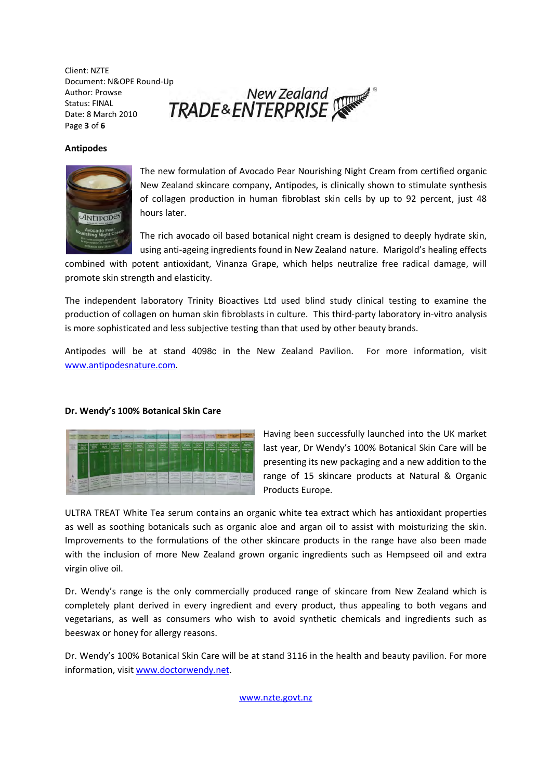Client: NZTE Author: Prowse Status: FINAL Date: 8 March 2010 Page 3 of 6

Document: N&OPE Round-Up<br>Author: Prowse New Zealand<br>Date: 8 March 2010 **TRADE&ENTERPRISE** 

## Antipodes



The new formulation of Avocado Pear Nourishing Night Cream from certified organic New Zealand skincare company, Antipodes, is clinically shown to stimulate synthesis of collagen production in human fibroblast skin cells by up to 92 percent, just 48 hours later.

The rich avocado oil based botanical night cream is designed to deeply hydrate skin, using anti-ageing ingredients found in New Zealand nature. Marigold's healing effects

combined with potent antioxidant, Vinanza Grape, which helps neutralize free radical damage, will promote skin strength and elasticity.

The independent laboratory Trinity Bioactives Ltd used blind study clinical testing to examine the production of collagen on human skin fibroblasts in culture. This third-party laboratory in-vitro analysis is more sophisticated and less subjective testing than that used by other beauty brands.

Antipodes will be at stand 4098c in the New Zealand Pavilion. For more information, visit www.antipodesnature.com.

#### Dr. Wendy's 100% Botanical Skin Care



Having been successfully launched into the UK market last year, Dr Wendy's 100% Botanical Skin Care will be presenting its new packaging and a new addition to the range of 15 skincare products at Natural & Organic Products Europe.

ULTRA TREAT White Tea serum contains an organic white tea extract which has antioxidant properties as well as soothing botanicals such as organic aloe and argan oil to assist with moisturizing the skin. Improvements to the formulations of the other skincare products in the range have also been made with the inclusion of more New Zealand grown organic ingredients such as Hempseed oil and extra virgin olive oil.

Dr. Wendy's range is the only commercially produced range of skincare from New Zealand which is completely plant derived in every ingredient and every product, thus appealing to both vegans and vegetarians, as well as consumers who wish to avoid synthetic chemicals and ingredients such as beeswax or honey for allergy reasons.

Dr. Wendy's 100% Botanical Skin Care will be at stand 3116 in the health and beauty pavilion. For more information, visit www.doctorwendy.net.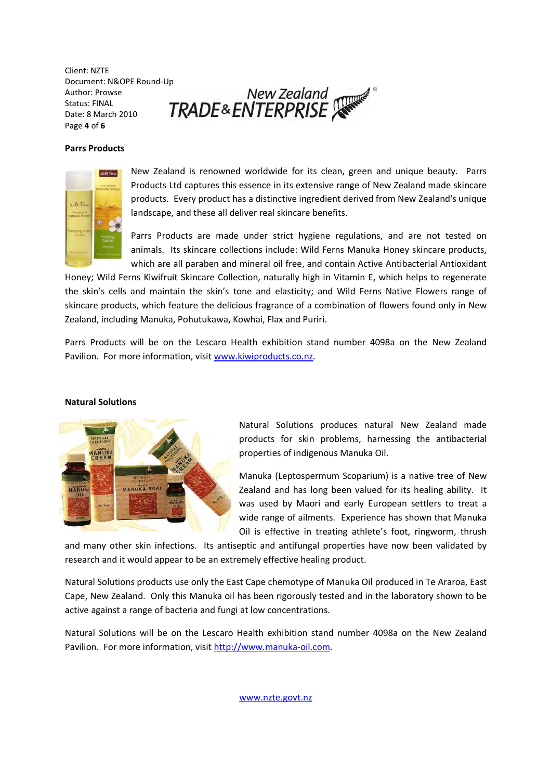Client: NZTE Document: N&OPE Round-Up<br>Author: Prowse New Zealand<br>Date: 8 March 2010 **TRADE&ENTERPRISE** Author: Prowse Status: FINAL Date: 8 March 2010 Page 4 of 6

Parrs Products



New Zealand is renowned worldwide for its clean, green and unique beauty. Parrs Products Ltd captures this essence in its extensive range of New Zealand made skincare products. Every product has a distinctive ingredient derived from New Zealand's unique landscape, and these all deliver real skincare benefits.

Parrs Products are made under strict hygiene regulations, and are not tested on animals. Its skincare collections include: Wild Ferns Manuka Honey skincare products, which are all paraben and mineral oil free, and contain Active Antibacterial Antioxidant

Honey; Wild Ferns Kiwifruit Skincare Collection, naturally high in Vitamin E, which helps to regenerate the skin's cells and maintain the skin's tone and elasticity; and Wild Ferns Native Flowers range of skincare products, which feature the delicious fragrance of a combination of flowers found only in New Zealand, including Manuka, Pohutukawa, Kowhai, Flax and Puriri.

Parrs Products will be on the Lescaro Health exhibition stand number 4098a on the New Zealand Pavilion. For more information, visit www.kiwiproducts.co.nz.

#### Natural Solutions



Natural Solutions produces natural New Zealand made products for skin problems, harnessing the antibacterial properties of indigenous Manuka Oil.

Manuka (Leptospermum Scoparium) is a native tree of New Zealand and has long been valued for its healing ability. It was used by Maori and early European settlers to treat a wide range of ailments. Experience has shown that Manuka Oil is effective in treating athlete's foot, ringworm, thrush

and many other skin infections. Its antiseptic and antifungal properties have now been validated by research and it would appear to be an extremely effective healing product.

Natural Solutions products use only the East Cape chemotype of Manuka Oil produced in Te Araroa, East Cape, New Zealand. Only this Manuka oil has been rigorously tested and in the laboratory shown to be active against a range of bacteria and fungi at low concentrations.

Natural Solutions will be on the Lescaro Health exhibition stand number 4098a on the New Zealand Pavilion. For more information, visit http://www.manuka-oil.com.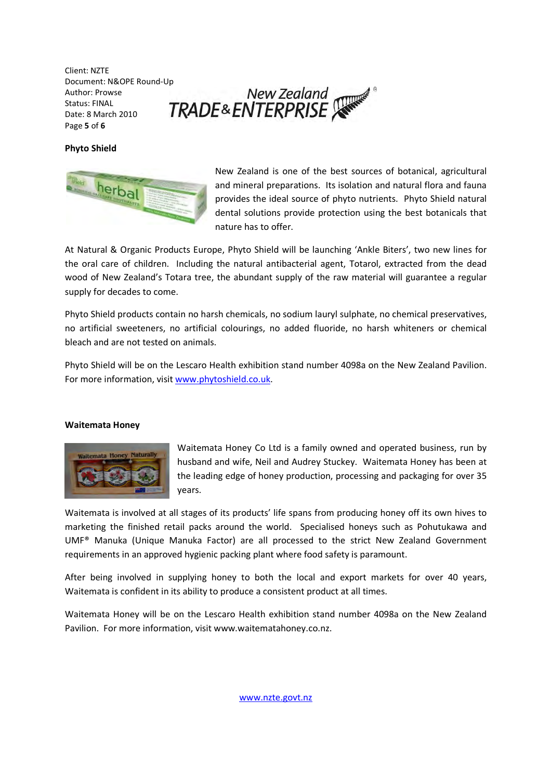Client: NZTE Author: Prowse Status: FINAL Date: 8 March 2010 Page 5 of 6

Document: N&OPE Round-Up<br>Author: Prowse New Zealand<br>Date: 8 March 2010 **TRADE&ENTERPRISE** 

# Phyto Shield



New Zealand is one of the best sources of botanical, agricultural and mineral preparations. Its isolation and natural flora and fauna provides the ideal source of phyto nutrients. Phyto Shield natural dental solutions provide protection using the best botanicals that nature has to offer.

At Natural & Organic Products Europe, Phyto Shield will be launching 'Ankle Biters', two new lines for the oral care of children. Including the natural antibacterial agent, Totarol, extracted from the dead wood of New Zealand's Totara tree, the abundant supply of the raw material will guarantee a regular supply for decades to come.

Phyto Shield products contain no harsh chemicals, no sodium lauryl sulphate, no chemical preservatives, no artificial sweeteners, no artificial colourings, no added fluoride, no harsh whiteners or chemical bleach and are not tested on animals.

Phyto Shield will be on the Lescaro Health exhibition stand number 4098a on the New Zealand Pavilion. For more information, visit www.phytoshield.co.uk.

# Waitemata Honey



Waitemata Honey Co Ltd is a family owned and operated business, run by husband and wife, Neil and Audrey Stuckey. Waitemata Honey has been at the leading edge of honey production, processing and packaging for over 35 years.

Waitemata is involved at all stages of its products' life spans from producing honey off its own hives to marketing the finished retail packs around the world. Specialised honeys such as Pohutukawa and UMF® Manuka (Unique Manuka Factor) are all processed to the strict New Zealand Government requirements in an approved hygienic packing plant where food safety is paramount.

After being involved in supplying honey to both the local and export markets for over 40 years, Waitemata is confident in its ability to produce a consistent product at all times.

Waitemata Honey will be on the Lescaro Health exhibition stand number 4098a on the New Zealand Pavilion. For more information, visit www.waitematahoney.co.nz.